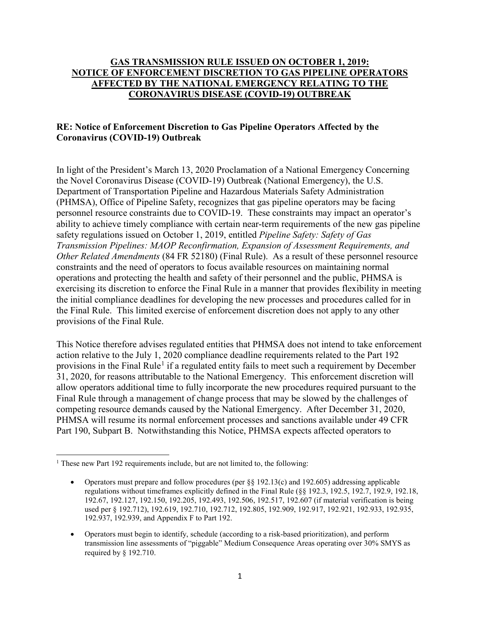## **GAS TRANSMISSION RULE ISSUED ON OCTOBER 1, 2019: NOTICE OF ENFORCEMENT DISCRETION TO GAS PIPELINE OPERATORS AFFECTED BY THE NATIONAL EMERGENCY RELATING TO THE CORONAVIRUS DISEASE (COVID-19) OUTBREAK**

## **RE: Notice of Enforcement Discretion to Gas Pipeline Operators Affected by the Coronavirus (COVID-19) Outbreak**

In light of the President's March 13, 2020 Proclamation of a National Emergency Concerning the Novel Coronavirus Disease (COVID-19) Outbreak (National Emergency), the U.S. Department of Transportation Pipeline and Hazardous Materials Safety Administration (PHMSA), Office of Pipeline Safety, recognizes that gas pipeline operators may be facing personnel resource constraints due to COVID-19. These constraints may impact an operator's ability to achieve timely compliance with certain near-term requirements of the new gas pipeline safety regulations issued on October 1, 2019, entitled *Pipeline Safety: Safety of Gas Transmission Pipelines: MAOP Reconfirmation, Expansion of Assessment Requirements, and Other Related Amendments* (84 FR 52180) (Final Rule). As a result of these personnel resource constraints and the need of operators to focus available resources on maintaining normal operations and protecting the health and safety of their personnel and the public, PHMSA is exercising its discretion to enforce the Final Rule in a manner that provides flexibility in meeting the initial compliance deadlines for developing the new processes and procedures called for in the Final Rule. This limited exercise of enforcement discretion does not apply to any other provisions of the Final Rule.

This Notice therefore advises regulated entities that PHMSA does not intend to take enforcement action relative to the July 1, 2020 compliance deadline requirements related to the Part 192 provisions in the Final Rule<sup>[1](#page-0-0)</sup> if a regulated entity fails to meet such a requirement by December 31, 2020, for reasons attributable to the National Emergency. This enforcement discretion will allow operators additional time to fully incorporate the new procedures required pursuant to the Final Rule through a management of change process that may be slowed by the challenges of competing resource demands caused by the National Emergency. After December 31, 2020, PHMSA will resume its normal enforcement processes and sanctions available under 49 CFR Part 190, Subpart B. Notwithstanding this Notice, PHMSA expects affected operators to

 $\overline{\phantom{a}}$ 

<span id="page-0-0"></span> $1$  These new Part 192 requirements include, but are not limited to, the following:

<sup>•</sup> Operators must prepare and follow procedures (per §§ 192.13(c) and 192.605) addressing applicable regulations without timeframes explicitly defined in the Final Rule (§§ 192.3, 192.5, 192.7, 192.9, 192.18, 192.67, 192.127, 192.150, 192.205, 192.493, 192.506, 192.517, 192.607 (if material verification is being used per § 192.712), 192.619, 192.710, 192.712, 192.805, 192.909, 192.917, 192.921, 192.933, 192.935, 192.937, 192.939, and Appendix F to Part 192.

<sup>•</sup> Operators must begin to identify, schedule (according to a risk-based prioritization), and perform transmission line assessments of "piggable" Medium Consequence Areas operating over 30% SMYS as required by § 192.710.